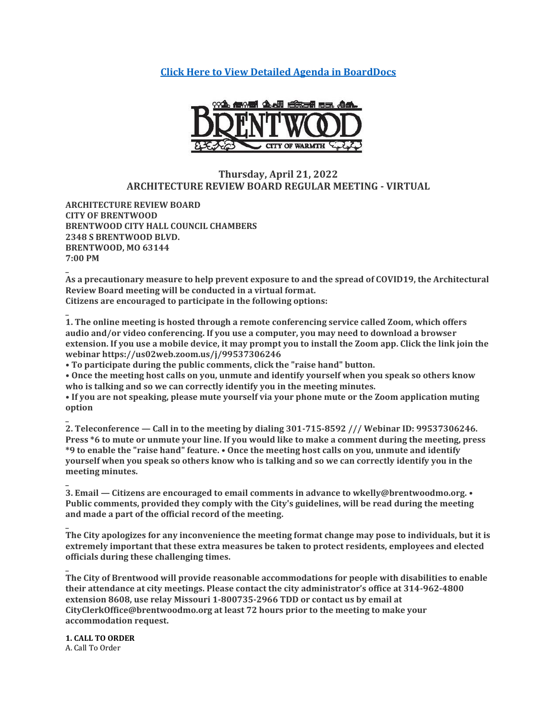**[Click Here to View Detailed Agenda in BoardDocs](http://go.boarddocs.com/mo/cob/Board.nsf/goto?open&id=CBVN895EA969)**



# **Thursday, April 21, 2022 ARCHITECTURE REVIEW BOARD REGULAR MEETING - VIRTUAL**

**ARCHITECTURE REVIEW BOARD CITY OF BRENTWOOD BRENTWOOD CITY HALL COUNCIL CHAMBERS 2348 S BRENTWOOD BLVD. BRENTWOOD, MO 63144 7:00 PM**

**\_ As a precautionary measure to help prevent exposure to and the spread of COVID19, the Architectural Review Board meeting will be conducted in a virtual format. Citizens are encouraged to participate in the following options:**

**1. The online meeting is hosted through a remote conferencing service called Zoom, which offers audio and/or video conferencing. If you use a computer, you may need to download a browser extension. If you use a mobile device, it may prompt you to install the Zoom app. Click the link join the webinar https://us02web.zoom.us/j/99537306246**

**• To participate during the public comments, click the "raise hand" button.**

**• Once the meeting host calls on you, unmute and identify yourself when you speak so others know who is talking and so we can correctly identify you in the meeting minutes.**

**• If you are not speaking, please mute yourself via your phone mute or the Zoom application muting option**

**2. Teleconference — Call in to the meeting by dialing 301-715-8592 /// Webinar ID: 99537306246. Press \*6 to mute or unmute your line. If you would like to make a comment during the meeting, press \*9 to enable the "raise hand" feature. • Once the meeting host calls on you, unmute and identify yourself when you speak so others know who is talking and so we can correctly identify you in the meeting minutes.**

**\_ 3. Email — Citizens are encouraged to email comments in advance to wkelly@brentwoodmo.org. • Public comments, provided they comply with the City's guidelines, will be read during the meeting and made a part of the official record of the meeting.**

**The City apologizes for any inconvenience the meeting format change may pose to individuals, but it is extremely important that these extra measures be taken to protect residents, employees and elected officials during these challenging times.**

**\_ The City of Brentwood will provide reasonable accommodations for people with disabilities to enable their attendance at city meetings. Please contact the city administrator's office at 314-962-4800 extension 8608, use relay Missouri 1-800735-2966 TDD or contact us by email at CityClerkOffice@brentwoodmo.org at least 72 hours prior to the meeting to make your accommodation request.**

**1. CALL TO ORDER** A. Call To Order

**\_**

**\_**

**\_**